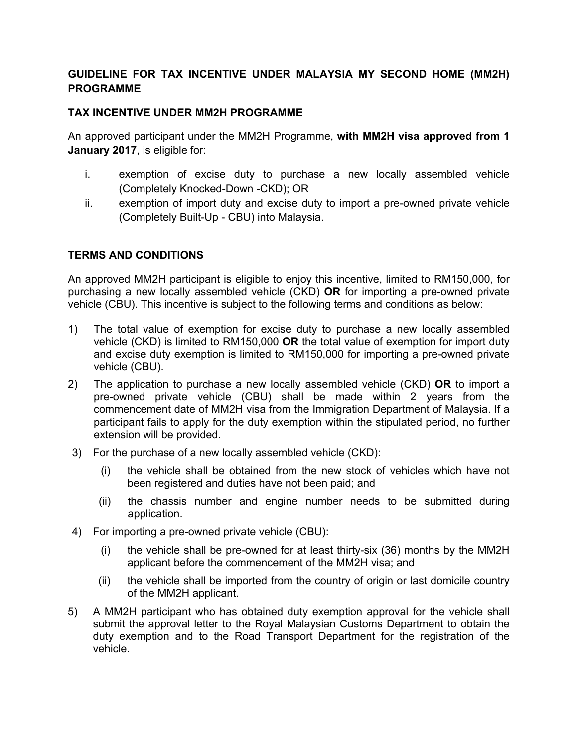# **GUIDELINE FOR TAX INCENTIVE UNDER MALAYSIA MY SECOND HOME (MM2H) PROGRAMME**

## **TAX INCENTIVE UNDER MM2H PROGRAMME**

An approved participant under the MM2H Programme, **with MM2H visa approved from 1 January 2017**, is eligible for:

- i. exemption of excise duty to purchase a new locally assembled vehicle (Completely Knocked-Down -CKD); OR
- ii. exemption of import duty and excise duty to import a pre-owned private vehicle (Completely Built-Up - CBU) into Malaysia.

## **TERMS AND CONDITIONS**

An approved MM2H participant is eligible to enjoy this incentive, limited to RM150,000, for purchasing a new locally assembled vehicle (CKD) **OR** for importing a pre-owned private vehicle (CBU). This incentive is subject to the following terms and conditions as below:

- 1) The total value of exemption for excise duty to purchase a new locally assembled vehicle (CKD) is limited to RM150,000 **OR** the total value of exemption for import duty and excise duty exemption is limited to RM150,000 for importing a pre-owned private vehicle (CBU).
- 2) The application to purchase a new locally assembled vehicle (CKD) **OR** to import a pre-owned private vehicle (CBU) shall be made within 2 years from the commencement date of MM2H visa from the Immigration Department of Malaysia. If a participant fails to apply for the duty exemption within the stipulated period, no further extension will be provided.
- 3) For the purchase of a new locally assembled vehicle (CKD):
	- (i) the vehicle shall be obtained from the new stock of vehicles which have not been registered and duties have not been paid; and
	- (ii) the chassis number and engine number needs to be submitted during application.
- 4) For importing a pre-owned private vehicle (CBU):
	- (i) the vehicle shall be pre-owned for at least thirty-six (36) months by the MM2H applicant before the commencement of the MM2H visa; and
	- (ii) the vehicle shall be imported from the country of origin or last domicile country of the MM2H applicant.
- 5) A MM2H participant who has obtained duty exemption approval for the vehicle shall submit the approval letter to the Royal Malaysian Customs Department to obtain the duty exemption and to the Road Transport Department for the registration of the vehicle.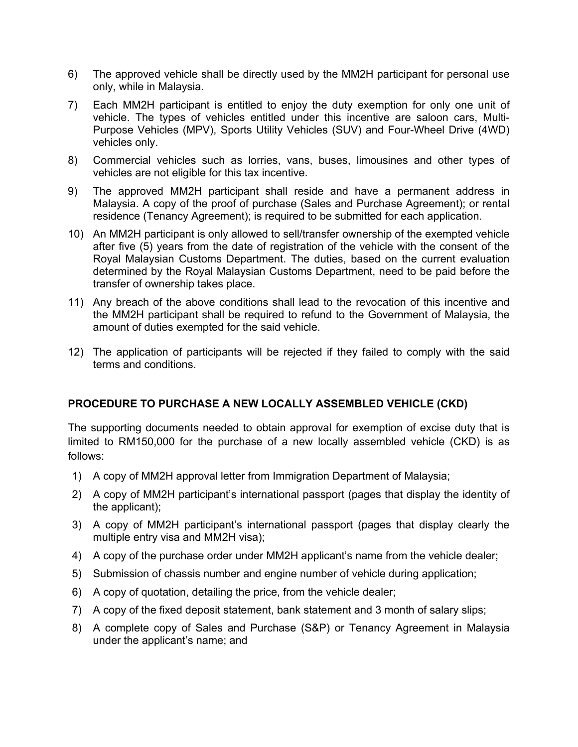- 6) The approved vehicle shall be directly used by the MM2H participant for personal use only, while in Malaysia.
- 7) Each MM2H participant is entitled to enjoy the duty exemption for only one unit of vehicle. The types of vehicles entitled under this incentive are saloon cars, Multi-Purpose Vehicles (MPV), Sports Utility Vehicles (SUV) and Four-Wheel Drive (4WD) vehicles only.
- 8) Commercial vehicles such as lorries, vans, buses, limousines and other types of vehicles are not eligible for this tax incentive.
- 9) The approved MM2H participant shall reside and have a permanent address in Malaysia. A copy of the proof of purchase (Sales and Purchase Agreement); or rental residence (Tenancy Agreement); is required to be submitted for each application.
- 10) An MM2H participant is only allowed to sell/transfer ownership of the exempted vehicle after five (5) years from the date of registration of the vehicle with the consent of the Royal Malaysian Customs Department. The duties, based on the current evaluation determined by the Royal Malaysian Customs Department, need to be paid before the transfer of ownership takes place.
- 11) Any breach of the above conditions shall lead to the revocation of this incentive and the MM2H participant shall be required to refund to the Government of Malaysia, the amount of duties exempted for the said vehicle.
- 12) The application of participants will be rejected if they failed to comply with the said terms and conditions.

## **PROCEDURE TO PURCHASE A NEW LOCALLY ASSEMBLED VEHICLE (CKD)**

The supporting documents needed to obtain approval for exemption of excise duty that is limited to RM150,000 for the purchase of a new locally assembled vehicle (CKD) is as follows:

- 1) A copy of MM2H approval letter from Immigration Department of Malaysia;
- 2) A copy of MM2H participant's international passport (pages that display the identity of the applicant);
- 3) A copy of MM2H participant's international passport (pages that display clearly the multiple entry visa and MM2H visa);
- 4) A copy of the purchase order under MM2H applicant's name from the vehicle dealer;
- 5) Submission of chassis number and engine number of vehicle during application;
- 6) A copy of quotation, detailing the price, from the vehicle dealer;
- 7) A copy of the fixed deposit statement, bank statement and 3 month of salary slips;
- 8) A complete copy of Sales and Purchase (S&P) or Tenancy Agreement in Malaysia under the applicant's name; and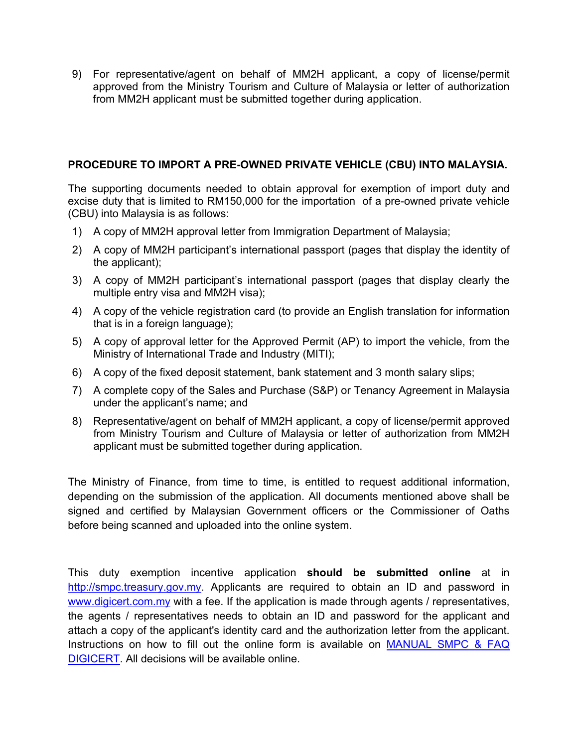9) For representative/agent on behalf of MM2H applicant, a copy of license/permit approved from the Ministry Tourism and Culture of Malaysia or letter of authorization from MM2H applicant must be submitted together during application.

## **PROCEDURE TO IMPORT A PRE-OWNED PRIVATE VEHICLE (CBU) INTO MALAYSIA.**

The supporting documents needed to obtain approval for exemption of import duty and excise duty that is limited to RM150,000 for the importation of a pre-owned private vehicle (CBU) into Malaysia is as follows:

- 1) A copy of MM2H approval letter from Immigration Department of Malaysia;
- 2) A copy of MM2H participant's international passport (pages that display the identity of the applicant);
- 3) A copy of MM2H participant's international passport (pages that display clearly the multiple entry visa and MM2H visa);
- 4) A copy of the vehicle registration card (to provide an English translation for information that is in a foreign language);
- 5) A copy of approval letter for the Approved Permit (AP) to import the vehicle, from the Ministry of International Trade and Industry (MITI);
- 6) A copy of the fixed deposit statement, bank statement and 3 month salary slips;
- 7) A complete copy of the Sales and Purchase (S&P) or Tenancy Agreement in Malaysia under the applicant's name; and
- 8) Representative/agent on behalf of MM2H applicant, a copy of license/permit approved from Ministry Tourism and Culture of Malaysia or letter of authorization from MM2H applicant must be submitted together during application.

The Ministry of Finance, from time to time, is entitled to request additional information, depending on the submission of the application. All documents mentioned above shall be signed and certified by Malaysian Government officers or the Commissioner of Oaths before being scanned and uploaded into the online system.

This duty exemption incentive application **should be submitted online** at in http://smpc.treasury.gov.my. Applicants are required to obtain an ID and password in www.digicert.com.my with a fee. If the application is made through agents / representatives, the agents / representatives needs to obtain an ID and password for the applicant and attach a copy of the applicant's identity card and the authorization letter from the applicant. Instructions on how to fill out the online form is available on MANUAL SMPC & FAQ DIGICERT. All decisions will be available online.